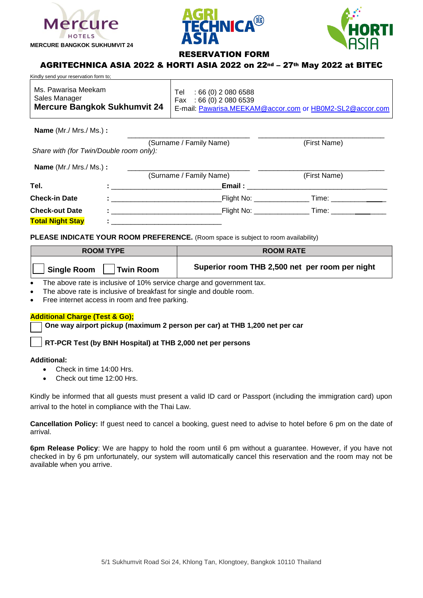





## RESERVATION FORM

\_\_\_\_\_\_\_\_\_\_\_\_\_\_\_\_\_\_\_\_\_\_\_\_\_\_\_\_\_\_\_ \_\_\_\_\_\_\_\_\_\_\_\_\_\_\_\_\_\_\_\_\_\_\_\_\_\_\_\_\_\_\_\_

# AGRITECHNICA ASIA 2022 & HORTI ASIA 2022 on 22nd – 27th May 2022 at BITEC

| Kindly send your reservation form to:                                       |                                                                                                                   |
|-----------------------------------------------------------------------------|-------------------------------------------------------------------------------------------------------------------|
| Ms. Pawarisa Meekam<br>Sales Manager<br><b>Mercure Bangkok Sukhumvit 24</b> | $:66(0)$ 2 080 6588<br>Tel<br>Fax: $66(0)$ 2 080 6539<br>E-mail: Pawarisa.MEEKAM@accor.com or HB0M2-SL2@accor.com |

**Name** (Mr./ Mrs./ Ms.) **:**

|                                         | (Surname / Family Name)                                                                                                                                                                                                                                                            | (First Name)           |  |
|-----------------------------------------|------------------------------------------------------------------------------------------------------------------------------------------------------------------------------------------------------------------------------------------------------------------------------------|------------------------|--|
| Share with (for Twin/Double room only): |                                                                                                                                                                                                                                                                                    |                        |  |
| <b>Name</b> (Mr./ Mrs./ Ms.) :          |                                                                                                                                                                                                                                                                                    |                        |  |
|                                         | (Surname / Family Name)                                                                                                                                                                                                                                                            | (First Name)           |  |
| Tel.                                    | Email: Email: All and the state of the state of the state of the state of the state of the state of the state of the state of the state of the state of the state of the state of the state of the state of the state of the s<br>the control of the control of the control of the |                        |  |
| <b>Check-in Date</b>                    |                                                                                                                                                                                                                                                                                    |                        |  |
| <b>Check-out Date</b>                   | Flight No: <b>Example 1</b><br>Design and the contract of the contract of the                                                                                                                                                                                                      | Time: ________________ |  |
| <b>Total Night Stay</b>                 |                                                                                                                                                                                                                                                                                    |                        |  |

**PLEASE INDICATE YOUR ROOM PREFERENCE.** (Room space is subject to room availability)

| <b>ROOM TYPE</b>                       | <b>ROOM RATE</b>                               |  |
|----------------------------------------|------------------------------------------------|--|
| <b>Single Room</b><br><b>Twin Room</b> | Superior room THB 2,500 net per room per night |  |

• The above rate is inclusive of 10% service charge and government tax.

- The above rate is inclusive of breakfast for single and double room.
- Free internet access in room and free parking.

## **Additional Charge (Test & Go);**

**One way airport pickup (maximum 2 person per car) at THB 1,200 net per car**

**RT-PCR Test (by BNH Hospital) at THB 2,000 net per persons** 

## **Additional:**

- Check in time 14:00 Hrs.
- Check out time 12:00 Hrs.

Kindly be informed that all guests must present a valid ID card or Passport (including the immigration card) upon arrival to the hotel in compliance with the Thai Law.

**Cancellation Policy:** If guest need to cancel a booking, guest need to advise to hotel before 6 pm on the date of arrival.

**6pm Release Policy**: We are happy to hold the room until 6 pm without a guarantee. However, if you have not checked in by 6 pm unfortunately, our system will automatically cancel this reservation and the room may not be available when you arrive.